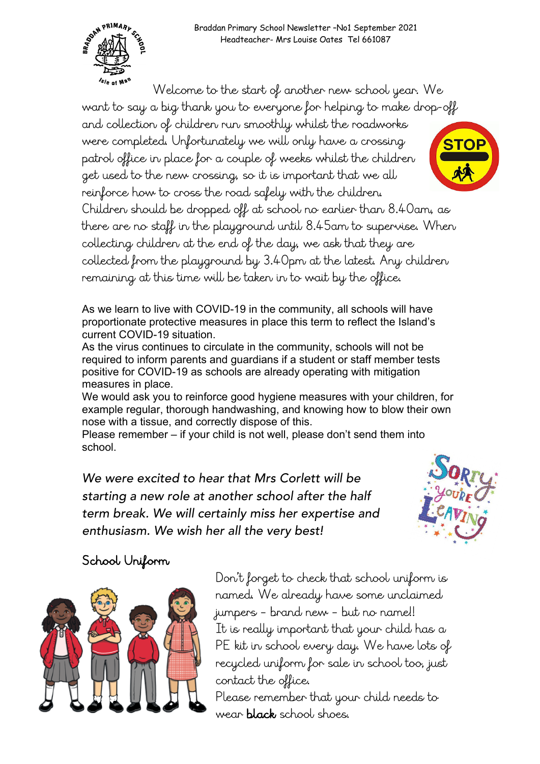

Welcome to the start of another new school year. We want to say a big thank you to everyone for helping to make drop-off and collection of children run smoothly whilst the roadworks were completed. Unfortunately we will only have a crossing patrol office in place for a couple of weeks whilst the children get used to the new crossing, so it is important that we all reinforce how to cross the road safely with the children. Children should be dropped off at school no earlier than 8.40am, as there are no staff in the playground until 8.45am to supervise. When collecting children at the end of the day, we ask that they are collected from the playground by 3.40pm at the latest. Any children remaining at this time will be taken in to wait by the office.

As we learn to live with COVID-19 in the community, all schools will have proportionate protective measures in place this term to reflect the Island's current COVID-19 situation.

As the virus continues to circulate in the community, schools will not be required to inform parents and guardians if a student or staff member tests positive for COVID-19 as schools are already operating with mitigation measures in place.

We would ask you to reinforce good hygiene measures with your children, for example regular, thorough handwashing, and knowing how to blow their own nose with a tissue, and correctly dispose of this.

Please remember – if your child is not well, please don't send them into school.

*We were excited to hear that Mrs Corlett will be starting a new role at another school after the half term break. We will certainly miss her expertise and enthusiasm. We wish her all the very best!*



## School Uniform



Don't forget to check that school uniform is named. We already have some unclaimed jumpers – brand new – but no name!! It is really important that your child has a PE kit in school every day. We have lots of recycled uniform for sale in school too, just contact the office. Please remember that your child needs to wear black school shoes.